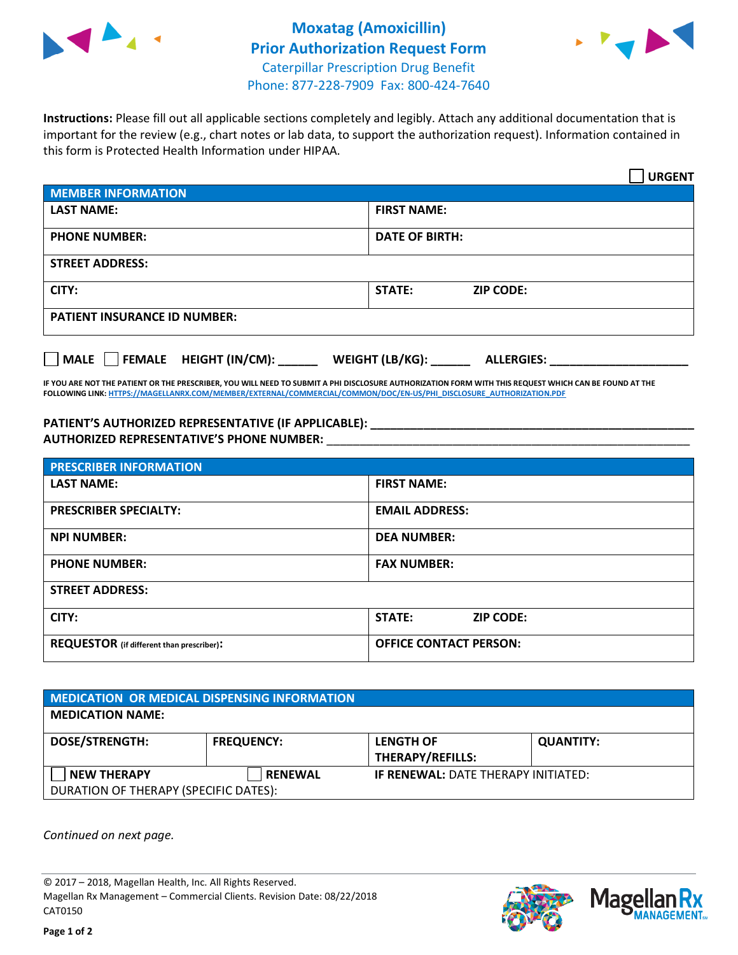



**Instructions:** Please fill out all applicable sections completely and legibly. Attach any additional documentation that is important for the review (e.g., chart notes or lab data, to support the authorization request). Information contained in this form is Protected Health Information under HIPAA.

|                                       | <b>URGENT</b>                        |  |  |  |
|---------------------------------------|--------------------------------------|--|--|--|
| <b>MEMBER INFORMATION</b>             |                                      |  |  |  |
| <b>LAST NAME:</b>                     | <b>FIRST NAME:</b>                   |  |  |  |
| <b>PHONE NUMBER:</b>                  | <b>DATE OF BIRTH:</b>                |  |  |  |
| <b>STREET ADDRESS:</b>                |                                      |  |  |  |
| CITY:                                 | <b>STATE:</b><br><b>ZIP CODE:</b>    |  |  |  |
| <b>PATIENT INSURANCE ID NUMBER:</b>   |                                      |  |  |  |
| FEMALE HEIGHT (IN/CM):<br><b>MALE</b> | WEIGHT (LB/KG):<br><b>ALLERGIES:</b> |  |  |  |

**IF YOU ARE NOT THE PATIENT OR THE PRESCRIBER, YOU WILL NEED TO SUBMIT A PHI DISCLOSURE AUTHORIZATION FORM WITH THIS REQUEST WHICH CAN BE FOUND AT THE FOLLOWING LINK[: HTTPS://MAGELLANRX.COM/MEMBER/EXTERNAL/COMMERCIAL/COMMON/DOC/EN-US/PHI\\_DISCLOSURE\\_AUTHORIZATION.PDF](https://magellanrx.com/member/external/commercial/common/doc/en-us/PHI_Disclosure_Authorization.pdf)**

**PATIENT'S AUTHORIZED REPRESENTATIVE (IF APPLICABLE): \_\_\_\_\_\_\_\_\_\_\_\_\_\_\_\_\_\_\_\_\_\_\_\_\_\_\_\_\_\_\_\_\_\_\_\_\_\_\_\_\_\_\_\_\_\_\_\_\_ AUTHORIZED REPRESENTATIVE'S PHONE NUMBER:** \_\_\_\_\_\_\_\_\_\_\_\_\_\_\_\_\_\_\_\_\_\_\_\_\_\_\_\_\_\_\_\_\_\_\_\_\_\_\_\_\_\_\_\_\_\_\_\_\_\_\_\_\_\_\_

| <b>PRESCRIBER INFORMATION</b>             |                               |  |  |  |
|-------------------------------------------|-------------------------------|--|--|--|
| <b>LAST NAME:</b>                         | <b>FIRST NAME:</b>            |  |  |  |
| <b>PRESCRIBER SPECIALTY:</b>              | <b>EMAIL ADDRESS:</b>         |  |  |  |
| <b>NPI NUMBER:</b>                        | <b>DEA NUMBER:</b>            |  |  |  |
| <b>PHONE NUMBER:</b>                      | <b>FAX NUMBER:</b>            |  |  |  |
| <b>STREET ADDRESS:</b>                    |                               |  |  |  |
| CITY:                                     | STATE:<br><b>ZIP CODE:</b>    |  |  |  |
| REQUESTOR (if different than prescriber): | <b>OFFICE CONTACT PERSON:</b> |  |  |  |

| <b>MEDICATION OR MEDICAL DISPENSING INFORMATION</b> |                   |                                            |                  |  |  |
|-----------------------------------------------------|-------------------|--------------------------------------------|------------------|--|--|
| <b>MEDICATION NAME:</b>                             |                   |                                            |                  |  |  |
| <b>DOSE/STRENGTH:</b>                               | <b>FREQUENCY:</b> | <b>LENGTH OF</b>                           | <b>QUANTITY:</b> |  |  |
|                                                     |                   | <b>THERAPY/REFILLS:</b>                    |                  |  |  |
| <b>NEW THERAPY</b>                                  | <b>RENEWAL</b>    | <b>IF RENEWAL: DATE THERAPY INITIATED:</b> |                  |  |  |
| DURATION OF THERAPY (SPECIFIC DATES):               |                   |                                            |                  |  |  |

*Continued on next page.*

© 2017 – 2018, Magellan Health, Inc. All Rights Reserved. Magellan Rx Management – Commercial Clients. Revision Date: 08/22/2018 CAT0150